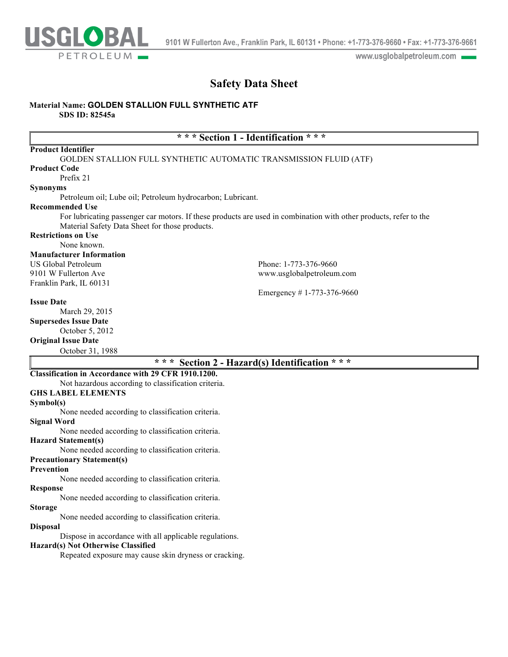

www.usglobalpetroleum.com

## **Safety Data Sheet**

## **Material Name: GOLDEN STALLION FULL SYNTHETIC ATF**

**SDS ID: 82545a**

## **\* \* \* Section 1 - Identification \* \* \***

| <b>Product Identifier</b>                                  |                                                                                                                   |
|------------------------------------------------------------|-------------------------------------------------------------------------------------------------------------------|
|                                                            | GOLDEN STALLION FULL SYNTHETIC AUTOMATIC TRANSMISSION FLUID (ATF)                                                 |
| <b>Product Code</b>                                        |                                                                                                                   |
| Prefix 21                                                  |                                                                                                                   |
| <b>Synonyms</b>                                            |                                                                                                                   |
| Petroleum oil; Lube oil; Petroleum hydrocarbon; Lubricant. |                                                                                                                   |
| <b>Recommended Use</b>                                     |                                                                                                                   |
|                                                            | For lubricating passenger car motors. If these products are used in combination with other products, refer to the |
| Material Safety Data Sheet for those products.             |                                                                                                                   |
| <b>Restrictions on Use</b>                                 |                                                                                                                   |
| None known.                                                |                                                                                                                   |
| <b>Manufacturer Information</b>                            |                                                                                                                   |
| US Global Petroleum                                        | Phone: 1-773-376-9660                                                                                             |
| 9101 W Fullerton Ave                                       | www.usglobalpetroleum.com                                                                                         |
| Franklin Park, IL 60131                                    |                                                                                                                   |
|                                                            | Emergency #1-773-376-9660                                                                                         |
| <b>Issue Date</b>                                          |                                                                                                                   |
| March 29, 2015                                             |                                                                                                                   |
| <b>Supersedes Issue Date</b>                               |                                                                                                                   |
| October 5, 2012                                            |                                                                                                                   |

#### **Original Issue Date**

October 31, 1988

## **\* \* \* Section 2 - Hazard(s) Identification \* \* \***

## **Classification in Accordance with 29 CFR 1910.1200.**

Not hazardous according to classification criteria.

## **GHS LABEL ELEMENTS**

**Symbol(s)**

None needed according to classification criteria. **Signal Word**

None needed according to classification criteria.

**Hazard Statement(s)**

None needed according to classification criteria.

## **Precautionary Statement(s)**

## **Prevention**

None needed according to classification criteria.

## **Response**

None needed according to classification criteria.

#### **Storage**

None needed according to classification criteria.

### **Disposal**

Dispose in accordance with all applicable regulations.

#### **Hazard(s) Not Otherwise Classified**

Repeated exposure may cause skin dryness or cracking.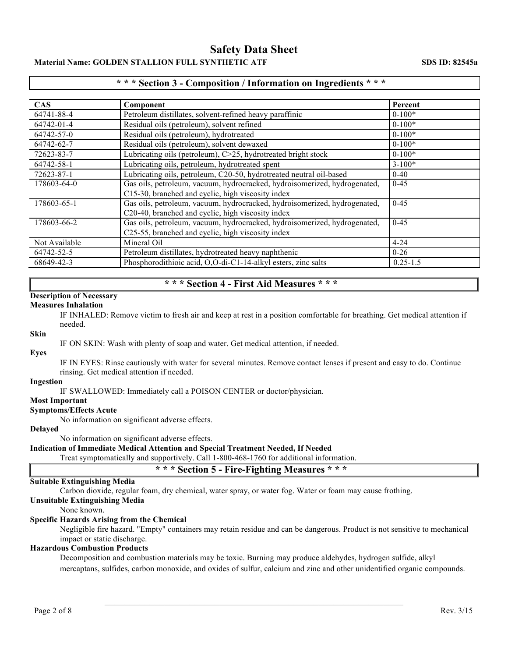## **Material Name: GOLDEN STALLION FULL SYNTHETIC ATF SDS ID: 82545a**

## **\* \* \* Section 3 - Composition / Information on Ingredients \* \* \***

| <b>CAS</b>    | Component                                                                 | Percent      |
|---------------|---------------------------------------------------------------------------|--------------|
| 64741-88-4    | Petroleum distillates, solvent-refined heavy paraffinic                   | $0-100*$     |
| 64742-01-4    | Residual oils (petroleum), solvent refined                                | $0-100*$     |
| 64742-57-0    | Residual oils (petroleum), hydrotreated                                   | $0-100*$     |
| 64742-62-7    | Residual oils (petroleum), solvent dewaxed                                | $0-100*$     |
| 72623-83-7    | Lubricating oils (petroleum), C>25, hydrotreated bright stock             | $0-100*$     |
| 64742-58-1    | Lubricating oils, petroleum, hydrotreated spent                           | $3 - 100*$   |
| 72623-87-1    | Lubricating oils, petroleum, C20-50, hydrotreated neutral oil-based       | $0 - 40$     |
| 178603-64-0   | Gas oils, petroleum, vacuum, hydrocracked, hydroisomerized, hydrogenated, | $0 - 45$     |
|               | C15-30, branched and cyclic, high viscosity index                         |              |
| 178603-65-1   | Gas oils, petroleum, vacuum, hydrocracked, hydroisomerized, hydrogenated, | $0 - 45$     |
|               | C20-40, branched and cyclic, high viscosity index                         |              |
| 178603-66-2   | Gas oils, petroleum, vacuum, hydrocracked, hydroisomerized, hydrogenated, | $0 - 45$     |
|               | C25-55, branched and cyclic, high viscosity index                         |              |
| Not Available | Mineral Oil                                                               | $4 - 24$     |
| 64742-52-5    | Petroleum distillates, hydrotreated heavy naphthenic                      | $0 - 26$     |
| 68649-42-3    | Phosphorodithioic acid, O,O-di-C1-14-alkyl esters, zinc salts             | $0.25 - 1.5$ |

## **\* \* \* Section 4 - First Aid Measures \* \* \***

## **Description of Necessary**

#### **Measures Inhalation**

IF INHALED: Remove victim to fresh air and keep at rest in a position comfortable for breathing. Get medical attention if needed.

## **Skin**

IF ON SKIN: Wash with plenty of soap and water. Get medical attention, if needed.

#### **Eyes**

IF IN EYES: Rinse cautiously with water for several minutes. Remove contact lenses if present and easy to do. Continue rinsing. Get medical attention if needed.

#### **Ingestion**

IF SWALLOWED: Immediately call a POISON CENTER or doctor/physician.

### **Most Important**

#### **Symptoms/Effects Acute**

No information on significant adverse effects.

## **Delayed**

No information on significant adverse effects.

#### **Indication of Immediate Medical Attention and Special Treatment Needed, If Needed**

Treat symptomatically and supportively. Call 1-800-468-1760 for additional information.

## **\* \* \* Section 5 - Fire-Fighting Measures \* \* \***

#### **Suitable Extinguishing Media**

Carbon dioxide, regular foam, dry chemical, water spray, or water fog. Water or foam may cause frothing.

## **Unsuitable Extinguishing Media**

None known.

## **Specific Hazards Arising from the Chemical**

Negligible fire hazard. "Empty" containers may retain residue and can be dangerous. Product is not sensitive to mechanical impact or static discharge.

#### **Hazardous Combustion Products**

Decomposition and combustion materials may be toxic. Burning may produce aldehydes, hydrogen sulfide, alkyl mercaptans, sulfides, carbon monoxide, and oxides of sulfur, calcium and zinc and other unidentified organic compounds.

 $\mathcal{L}_\mathcal{L}$  , and the contribution of the contribution of the contribution of the contribution of the contribution of the contribution of the contribution of the contribution of the contribution of the contribution of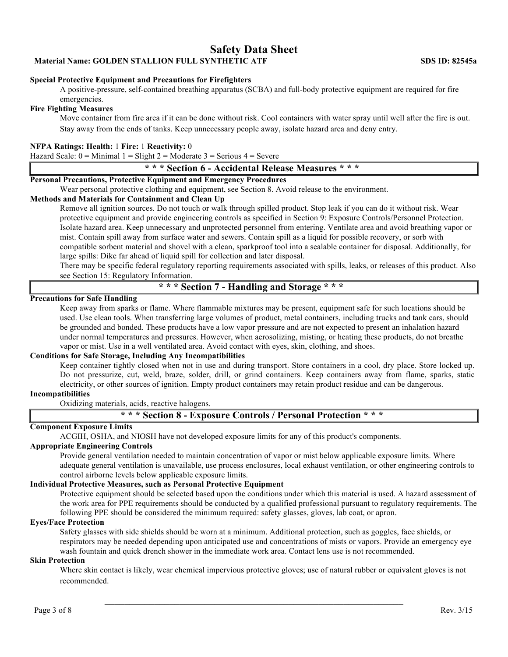**Material Name: GOLDEN STALLION FULL SYNTHETIC ATF SDS ID: 82545a**

#### **Special Protective Equipment and Precautions for Firefighters**

A positive-pressure, self-contained breathing apparatus (SCBA) and full-body protective equipment are required for fire emergencies.

#### **Fire Fighting Measures**

Move container from fire area if it can be done without risk. Cool containers with water spray until well after the fire is out. Stay away from the ends of tanks. Keep unnecessary people away, isolate hazard area and deny entry.

#### **NFPA Ratings: Health:** 1 **Fire:** 1 **Reactivity:** 0

Hazard Scale:  $0 =$  Minimal  $1 =$  Slight  $2 =$  Moderate  $3 =$  Serious  $4 =$  Severe

### **\* \* \* Section 6 - Accidental Release Measures \* \* \***

## **Personal Precautions, Protective Equipment and Emergency Procedures**

Wear personal protective clothing and equipment, see Section 8. Avoid release to the environment.

### **Methods and Materials for Containment and Clean Up**

Remove all ignition sources. Do not touch or walk through spilled product. Stop leak if you can do it without risk. Wear protective equipment and provide engineering controls as specified in Section 9: Exposure Controls/Personnel Protection. Isolate hazard area. Keep unnecessary and unprotected personnel from entering. Ventilate area and avoid breathing vapor or mist. Contain spill away from surface water and sewers. Contain spill as a liquid for possible recovery, or sorb with compatible sorbent material and shovel with a clean, sparkproof tool into a sealable container for disposal. Additionally, for large spills: Dike far ahead of liquid spill for collection and later disposal.

There may be specific federal regulatory reporting requirements associated with spills, leaks, or releases of this product. Also see Section 15: Regulatory Information.

## **\* \* \* Section 7 - Handling and Storage \* \* \***

## **Precautions for Safe Handling**

Keep away from sparks or flame. Where flammable mixtures may be present, equipment safe for such locations should be used. Use clean tools. When transferring large volumes of product, metal containers, including trucks and tank cars, should be grounded and bonded. These products have a low vapor pressure and are not expected to present an inhalation hazard under normal temperatures and pressures. However, when aerosolizing, misting, or heating these products, do not breathe vapor or mist. Use in a well ventilated area. Avoid contact with eyes, skin, clothing, and shoes.

#### **Conditions for Safe Storage, Including Any Incompatibilities**

Keep container tightly closed when not in use and during transport. Store containers in a cool, dry place. Store locked up. Do not pressurize, cut, weld, braze, solder, drill, or grind containers. Keep containers away from flame, sparks, static electricity, or other sources of ignition. Empty product containers may retain product residue and can be dangerous.

### **Incompatibilities**

Oxidizing materials, acids, reactive halogens.

## **\* \* \* Section 8 - Exposure Controls / Personal Protection \* \* \***

#### **Component Exposure Limits**

ACGIH, OSHA, and NIOSH have not developed exposure limits for any of this product's components.

## **Appropriate Engineering Controls**

Provide general ventilation needed to maintain concentration of vapor or mist below applicable exposure limits. Where adequate general ventilation is unavailable, use process enclosures, local exhaust ventilation, or other engineering controls to control airborne levels below applicable exposure limits.

#### **Individual Protective Measures, such as Personal Protective Equipment**

Protective equipment should be selected based upon the conditions under which this material is used. A hazard assessment of the work area for PPE requirements should be conducted by a qualified professional pursuant to regulatory requirements. The following PPE should be considered the minimum required: safety glasses, gloves, lab coat, or apron.

#### **Eyes/Face Protection**

Safety glasses with side shields should be worn at a minimum. Additional protection, such as goggles, face shields, or respirators may be needed depending upon anticipated use and concentrations of mists or vapors. Provide an emergency eye wash fountain and quick drench shower in the immediate work area. Contact lens use is not recommended.

#### **Skin Protection**

Where skin contact is likely, wear chemical impervious protective gloves; use of natural rubber or equivalent gloves is not recommended.

 $\mathcal{L}_\text{max}$  and the contract of the contract of the contract of the contract of the contract of the contract of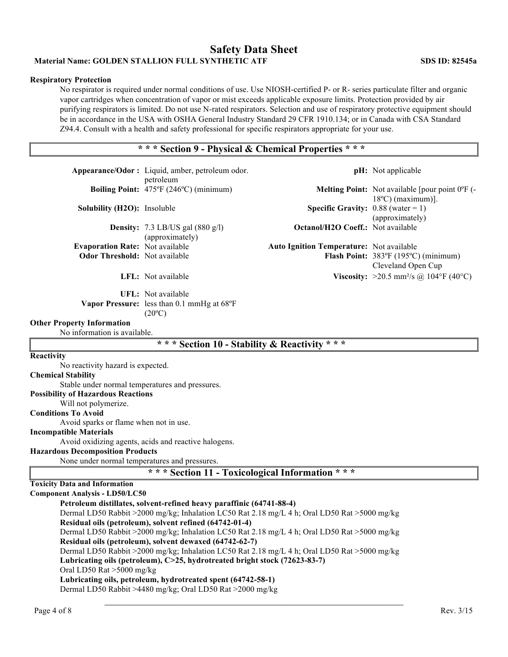## **Safety Data Sheet Material Name: GOLDEN STALLION FULL SYNTHETIC ATF** SDS ID: 82545a

## **Respiratory Protection**

No respirator is required under normal conditions of use. Use NIOSH-certified P- or R- series particulate filter and organic vapor cartridges when concentration of vapor or mist exceeds applicable exposure limits. Protection provided by air purifying respirators is limited. Do not use N-rated respirators. Selection and use of respiratory protective equipment should be in accordance in the USA with OSHA General Industry Standard 29 CFR 1910.134; or in Canada with CSA Standard Z94.4. Consult with a health and safety professional for specific respirators appropriate for your use.

## **\* \* \* Section 9 - Physical & Chemical Properties \* \* \***

| Appearance/Odor: Liquid, amber, petroleum odor.                                                                                                         |                                                                                     |                                                 | <b>pH</b> : Not applicable                                       |  |  |  |
|---------------------------------------------------------------------------------------------------------------------------------------------------------|-------------------------------------------------------------------------------------|-------------------------------------------------|------------------------------------------------------------------|--|--|--|
|                                                                                                                                                         | petroleum<br>Boiling Point: 475°F (246°C) (minimum)                                 |                                                 | <b>Melting Point:</b> Not available [pour point $0^{\circ}$ F (- |  |  |  |
| <b>Solubility (H2O):</b> Insoluble                                                                                                                      |                                                                                     | <b>Specific Gravity:</b> $0.88$ (water = 1)     | $18^{\circ}$ C) (maximum)].<br>(approximately)                   |  |  |  |
|                                                                                                                                                         | <b>Density:</b> 7.3 LB/US gal $(880 \text{ g/l})$<br>(approximately)                | <b>Octanol/H2O Coeff.:</b> Not available        |                                                                  |  |  |  |
| <b>Evaporation Rate: Not available</b><br><b>Odor Threshold:</b> Not available                                                                          |                                                                                     | <b>Auto Ignition Temperature:</b> Not available | Flash Point: 383°F (195°C) (minimum)<br>Cleveland Open Cup       |  |  |  |
|                                                                                                                                                         | LFL: Not available                                                                  |                                                 | <b>Viscosity:</b> >20.5 mm <sup>2</sup> /s @ 104°F (40°C)        |  |  |  |
|                                                                                                                                                         | UFL: Not available<br>Vapor Pressure: less than 0.1 mmHg at 68°F<br>$(20^{\circ}C)$ |                                                 |                                                                  |  |  |  |
| <b>Other Property Information</b><br>No information is available.                                                                                       |                                                                                     |                                                 |                                                                  |  |  |  |
|                                                                                                                                                         | * * * Section 10 - Stability & Reactivity * * *                                     |                                                 |                                                                  |  |  |  |
| Reactivity                                                                                                                                              |                                                                                     |                                                 |                                                                  |  |  |  |
| No reactivity hazard is expected.                                                                                                                       |                                                                                     |                                                 |                                                                  |  |  |  |
| <b>Chemical Stability</b>                                                                                                                               |                                                                                     |                                                 |                                                                  |  |  |  |
| Stable under normal temperatures and pressures.<br><b>Possibility of Hazardous Reactions</b>                                                            |                                                                                     |                                                 |                                                                  |  |  |  |
| Will not polymerize.                                                                                                                                    |                                                                                     |                                                 |                                                                  |  |  |  |
| <b>Conditions To Avoid</b>                                                                                                                              |                                                                                     |                                                 |                                                                  |  |  |  |
| Avoid sparks or flame when not in use.                                                                                                                  |                                                                                     |                                                 |                                                                  |  |  |  |
| <b>Incompatible Materials</b>                                                                                                                           |                                                                                     |                                                 |                                                                  |  |  |  |
|                                                                                                                                                         | Avoid oxidizing agents, acids and reactive halogens.                                |                                                 |                                                                  |  |  |  |
| <b>Hazardous Decomposition Products</b>                                                                                                                 |                                                                                     |                                                 |                                                                  |  |  |  |
| None under normal temperatures and pressures.                                                                                                           |                                                                                     |                                                 |                                                                  |  |  |  |
|                                                                                                                                                         | *** Section 11 - Toxicological Information ***                                      |                                                 |                                                                  |  |  |  |
| <b>Toxicity Data and Information</b>                                                                                                                    |                                                                                     |                                                 |                                                                  |  |  |  |
| <b>Component Analysis - LD50/LC50</b>                                                                                                                   |                                                                                     |                                                 |                                                                  |  |  |  |
|                                                                                                                                                         | Petroleum distillates, solvent-refined heavy paraffinic (64741-88-4)                |                                                 |                                                                  |  |  |  |
| Dermal LD50 Rabbit >2000 mg/kg; Inhalation LC50 Rat 2.18 mg/L 4 h; Oral LD50 Rat >5000 mg/kg                                                            |                                                                                     |                                                 |                                                                  |  |  |  |
| Residual oils (petroleum), solvent refined (64742-01-4)<br>Dermal LD50 Rabbit >2000 mg/kg; Inhalation LC50 Rat 2.18 mg/L 4 h; Oral LD50 Rat >5000 mg/kg |                                                                                     |                                                 |                                                                  |  |  |  |
| Residual oils (petroleum), solvent dewaxed (64742-62-7)                                                                                                 |                                                                                     |                                                 |                                                                  |  |  |  |
| Dermal LD50 Rabbit >2000 mg/kg; Inhalation LC50 Rat 2.18 mg/L 4 h; Oral LD50 Rat >5000 mg/kg                                                            |                                                                                     |                                                 |                                                                  |  |  |  |
| Lubricating oils (petroleum), C>25, hydrotreated bright stock (72623-83-7)                                                                              |                                                                                     |                                                 |                                                                  |  |  |  |
| Oral LD50 Rat >5000 mg/kg                                                                                                                               |                                                                                     |                                                 |                                                                  |  |  |  |
|                                                                                                                                                         | Lubricating oils, petroleum, hydrotreated spent (64742-58-1)                        |                                                 |                                                                  |  |  |  |
|                                                                                                                                                         | Dermal LD50 Rabbit >4480 mg/kg; Oral LD50 Rat >2000 mg/kg                           |                                                 |                                                                  |  |  |  |
|                                                                                                                                                         |                                                                                     |                                                 |                                                                  |  |  |  |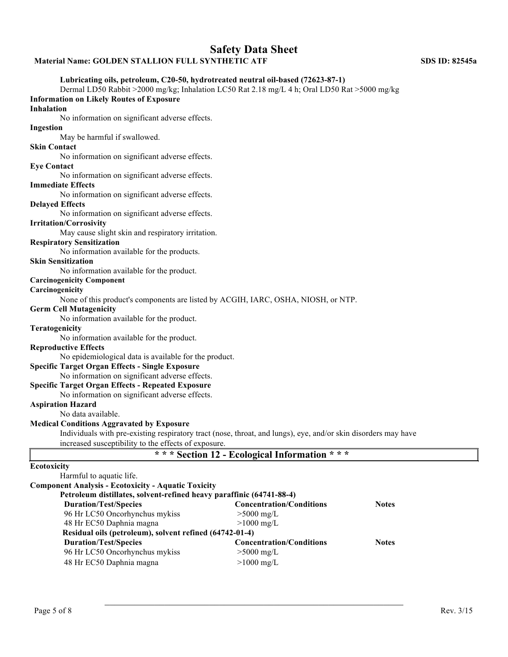## **Material Name: GOLDEN STALLION FULL SYNTHETIC ATF SDS ID: 82545a**

## **Lubricating oils, petroleum, C20-50, hydrotreated neutral oil-based (72623-87-1)**

Dermal LD50 Rabbit >2000 mg/kg; Inhalation LC50 Rat 2.18 mg/L 4 h; Oral LD50 Rat >5000 mg/kg **Information on Likely Routes of Exposure** 

## **Inhalation**

No information on significant adverse effects.

## **Ingestion**

May be harmful if swallowed.

### **Skin Contact**

No information on significant adverse effects.

#### **Eye Contact**

No information on significant adverse effects.

#### **Immediate Effects**

No information on significant adverse effects.

#### **Delayed Effects**

No information on significant adverse effects.

#### **Irritation/Corrosivity**

May cause slight skin and respiratory irritation.

#### **Respiratory Sensitization**

No information available for the products.

#### **Skin Sensitization**

No information available for the product.

## **Carcinogenicity Component**

#### **Carcinogenicity**

None of this product's components are listed by ACGIH, IARC, OSHA, NIOSH, or NTP.

#### **Germ Cell Mutagenicity**

No information available for the product.

#### **Teratogenicity**

No information available for the product.

#### **Reproductive Effects**

No epidemiological data is available for the product.

#### **Specific Target Organ Effects - Single Exposure**

No information on significant adverse effects.

#### **Specific Target Organ Effects - Repeated Exposure**

No information on significant adverse effects.

## **Aspiration Hazard**

No data available.

#### **Medical Conditions Aggravated by Exposure**

Individuals with pre-existing respiratory tract (nose, throat, and lungs), eye, and/or skin disorders may have increased susceptibility to the effects of exposure.

|  |  | * * * Section 12 - Ecological Information * * * |  |  |  |  |  |  |  |  |
|--|--|-------------------------------------------------|--|--|--|--|--|--|--|--|
|--|--|-------------------------------------------------|--|--|--|--|--|--|--|--|

 $\mathcal{L}_\mathcal{L}$  , and the contribution of the contribution of the contribution of the contribution of the contribution of the contribution of the contribution of the contribution of the contribution of the contribution of

## **Ecotoxicity**

| Harmful to aquatic life.                                             |                                 |              |
|----------------------------------------------------------------------|---------------------------------|--------------|
| <b>Component Analysis - Ecotoxicity - Aquatic Toxicity</b>           |                                 |              |
| Petroleum distillates, solvent-refined heavy paraffinic (64741-88-4) |                                 |              |
| <b>Duration/Test/Species</b>                                         | <b>Concentration/Conditions</b> | <b>Notes</b> |
| 96 Hr LC50 Oncorhynchus mykiss                                       | $>5000$ mg/L                    |              |
| 48 Hr EC50 Daphnia magna                                             | $>1000$ mg/L                    |              |
| Residual oils (petroleum), solvent refined (64742-01-4)              |                                 |              |
| <b>Duration/Test/Species</b>                                         | <b>Concentration/Conditions</b> | <b>Notes</b> |
| 96 Hr LC50 Oncorhynchus mykiss                                       | $>5000$ mg/L                    |              |
| 48 Hr EC50 Daphnia magna                                             | $>1000$ mg/L                    |              |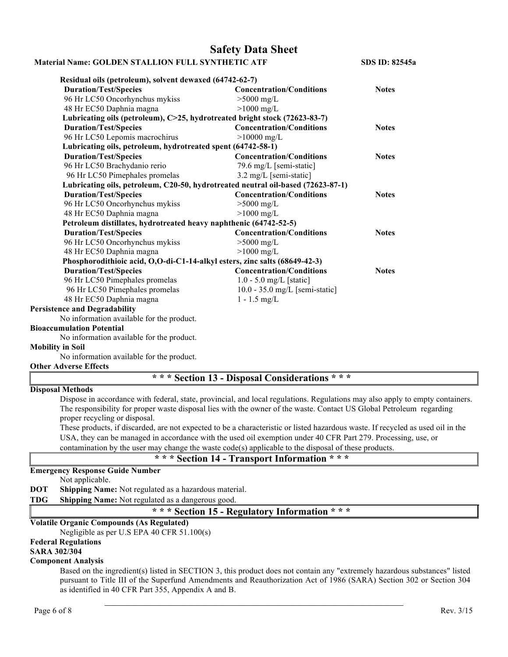#### **Material Name: GOLDEN STALLION FULL SYNTHETIC ATF SDS ID: 82545a**

**Residual oils (petroleum), solvent dewaxed (64742-62-7) Duration/Test/Species Concentration/Conditions Notes** 96 Hr LC50 Oncorhynchus mykiss >5000 mg/L 48 Hr EC50 Daphnia magna >1000 mg/L **Lubricating oils (petroleum), C>25, hydrotreated bright stock (72623-83-7) Duration/Test/Species Concentration/Conditions Notes** 96 Hr LC50 Lepomis macrochirus >10000 mg/L **Lubricating oils, petroleum, hydrotreated spent (64742-58-1) Duration/Test/Species Concentration/Conditions Notes** 96 Hr LC50 Brachydanio rerio 79.6 mg/L [semi-static] 96 Hr LC50 Pimephales promelas 3.2 mg/L [semi-static] **Lubricating oils, petroleum, C20-50, hydrotreated neutral oil-based (72623-87-1) Duration/Test/Species Concentration/Conditions Notes** 96 Hr LC50 Oncorhynchus mykiss >5000 mg/L 48 Hr EC50 Daphnia magna >1000 mg/L **Petroleum distillates, hydrotreated heavy naphthenic (64742-52-5) Duration/Test/Species Concentration/Conditions Notes** 96 Hr LC50 Oncorhynchus mykiss >5000 mg/L 48 Hr EC50 Daphnia magna >1000 mg/L **Phosphorodithioic acid, O,O-di-C1-14-alkyl esters, zinc salts (68649-42-3) Duration/Test/Species Concentration/Conditions Notes** 96 Hr LC50 Pimephales promelas 1.0 - 5.0 mg/L [static] 96 Hr LC50 Pimephales promelas 10.0 - 35.0 mg/L [semi-static] 48 Hr EC50 Daphnia magna 1 - 1.5 mg/L **Persistence and Degradability**

No information available for the product.

## **Bioaccumulation Potential**

No information available for the product.

## **Mobility in Soil**

No information available for the product.

## **Other Adverse Effects**

**\* \* \* Section 13 - Disposal Considerations \* \* \***

## **Disposal Methods**

Dispose in accordance with federal, state, provincial, and local regulations. Regulations may also apply to empty containers. The responsibility for proper waste disposal lies with the owner of the waste. Contact US Global Petroleum regarding proper recycling or disposal.

These products, if discarded, are not expected to be a characteristic or listed hazardous waste. If recycled as used oil in the USA, they can be managed in accordance with the used oil exemption under 40 CFR Part 279. Processing, use, or contamination by the user may change the waste code(s) applicable to the disposal of these products.

## **\* \* \* Section 14 - Transport Information \* \* \***

## **Emergency Response Guide Number**

Not applicable.

- **DOT Shipping Name:** Not regulated as a hazardous material.
- **TDG Shipping Name:** Not regulated as a dangerous good.

## **\* \* \* Section 15 - Regulatory Information \* \* \***

## **Volatile Organic Compounds (As Regulated)**

Negligible as per U.S EPA 40 CFR 51.100(s)

#### **Federal Regulations**

**SARA 302/304** 

#### **Component Analysis**

Based on the ingredient(s) listed in SECTION 3, this product does not contain any "extremely hazardous substances" listed pursuant to Title III of the Superfund Amendments and Reauthorization Act of 1986 (SARA) Section 302 or Section 304 as identified in 40 CFR Part 355, Appendix A and B.

 $\mathcal{L}_\text{max}$  and the contract of the contract of the contract of the contract of the contract of the contract of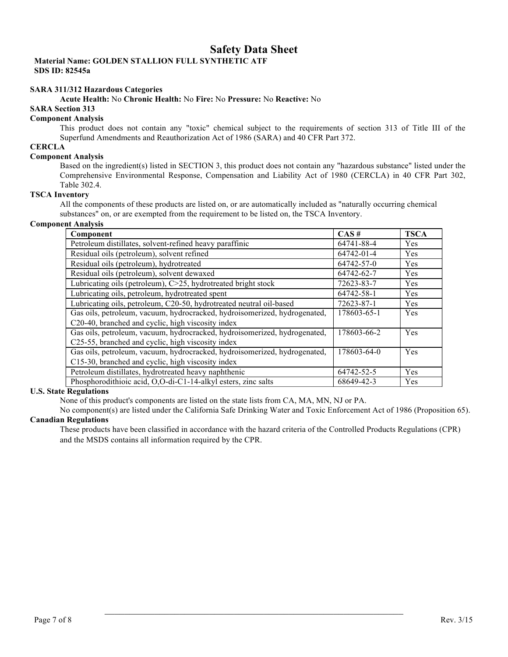**Material Name: GOLDEN STALLION FULL SYNTHETIC ATF SDS ID: 82545a**

#### **SARA 311/312 Hazardous Categories**

#### **Acute Health:** No **Chronic Health:** No **Fire:** No **Pressure:** No **Reactive:** No

## **SARA Section 313**

## **Component Analysis**

This product does not contain any "toxic" chemical subject to the requirements of section 313 of Title III of the Superfund Amendments and Reauthorization Act of 1986 (SARA) and 40 CFR Part 372.

## **CERCLA**

#### **Component Analysis**

Based on the ingredient(s) listed in SECTION 3, this product does not contain any "hazardous substance" listed under the Comprehensive Environmental Response, Compensation and Liability Act of 1980 (CERCLA) in 40 CFR Part 302, Table 302.4.

#### **TSCA Inventory**

All the components of these products are listed on, or are automatically included as "naturally occurring chemical substances" on, or are exempted from the requirement to be listed on, the TSCA Inventory.

## **Component Analysis**

| Component                                                                 | CAS#        | <b>TSCA</b> |
|---------------------------------------------------------------------------|-------------|-------------|
| Petroleum distillates, solvent-refined heavy paraffinic                   | 64741-88-4  | Yes         |
| Residual oils (petroleum), solvent refined                                | 64742-01-4  | Yes         |
| Residual oils (petroleum), hydrotreated                                   | 64742-57-0  | Yes         |
| Residual oils (petroleum), solvent dewaxed                                | 64742-62-7  | Yes         |
| Lubricating oils (petroleum), C>25, hydrotreated bright stock             | 72623-83-7  | Yes         |
| Lubricating oils, petroleum, hydrotreated spent                           | 64742-58-1  | Yes         |
| Lubricating oils, petroleum, C20-50, hydrotreated neutral oil-based       | 72623-87-1  | Yes         |
| Gas oils, petroleum, vacuum, hydrocracked, hydroisomerized, hydrogenated, | 178603-65-1 | Yes         |
| C20-40, branched and cyclic, high viscosity index                         |             |             |
| Gas oils, petroleum, vacuum, hydrocracked, hydroisomerized, hydrogenated, | 178603-66-2 | Yes         |
| C25-55, branched and cyclic, high viscosity index                         |             |             |
| Gas oils, petroleum, vacuum, hydrocracked, hydroisomerized, hydrogenated, | 178603-64-0 | Yes         |
| C15-30, branched and cyclic, high viscosity index                         |             |             |
| Petroleum distillates, hydrotreated heavy naphthenic                      | 64742-52-5  | Yes         |
| Phosphorodithioic acid, O,O-di-C1-14-alkyl esters, zinc salts             | 68649-42-3  | Yes         |

## **U.S. State Regulations**

None of this product's components are listed on the state lists from CA, MA, MN, NJ or PA.

No component(s) are listed under the California Safe Drinking Water and Toxic Enforcement Act of 1986 (Proposition 65). **Canadian Regulations**

These products have been classified in accordance with the hazard criteria of the Controlled Products Regulations (CPR) and the MSDS contains all information required by the CPR.

 $\mathcal{L}_\mathcal{L}$  , and the contribution of the contribution of the contribution of the contribution of the contribution of the contribution of the contribution of the contribution of the contribution of the contribution of